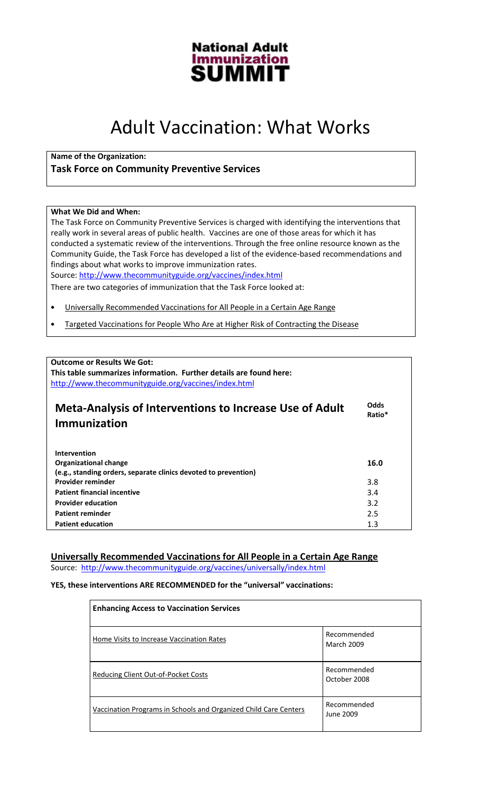

# Adult Vaccination: What Works

Name of the Organization:

# Task Force on Community Preventive Services

#### What We Did and When:

The Task Force on Community Preventive Services is charged with identifying the interventions that really work in several areas of public health. Vaccines are one of those areas for which it has conducted a systematic review of the interventions. Through the free online resource known as the Community Guide, the Task Force has developed a list of the evidence-based recommendations and findings about what works to improve immunization rates.

Source: http://www.thecommunityguide.org/vaccines/index.html

There are two categories of immunization that the Task Force looked at:

- Universally Recommended Vaccinations for All People in a Certain Age Range
- Targeted Vaccinations for People Who Are at Higher Risk of Contracting the Disease

| <b>Outcome or Results We Got:</b><br>This table summarizes information. Further details are found here:<br>http://www.thecommunityguide.org/vaccines/index.html |                |
|-----------------------------------------------------------------------------------------------------------------------------------------------------------------|----------------|
| <b>Meta-Analysis of Interventions to Increase Use of Adult</b><br>Immunization                                                                                  | Odds<br>Ratio* |
| Intervention<br><b>Organizational change</b><br>(e.g., standing orders, separate clinics devoted to prevention)                                                 | 16.0           |
| Provider reminder                                                                                                                                               | 3.8            |
| <b>Patient financial incentive</b>                                                                                                                              | 3.4            |
| <b>Provider education</b>                                                                                                                                       | 3.2            |
| <b>Patient reminder</b>                                                                                                                                         | 2.5            |
| <b>Patient education</b>                                                                                                                                        | 1.3            |

## Universally Recommended Vaccinations for All People in a Certain Age Range

Source: http://www.thecommunityguide.org/vaccines/universally/index.html

#### YES, these interventions ARE RECOMMENDED for the "universal" vaccinations:

| <b>Enhancing Access to Vaccination Services</b>                  |                                  |
|------------------------------------------------------------------|----------------------------------|
| Home Visits to Increase Vaccination Rates                        | Recommended<br><b>March 2009</b> |
| Reducing Client Out-of-Pocket Costs                              | Recommended<br>October 2008      |
| Vaccination Programs in Schools and Organized Child Care Centers | Recommended<br>June 2009         |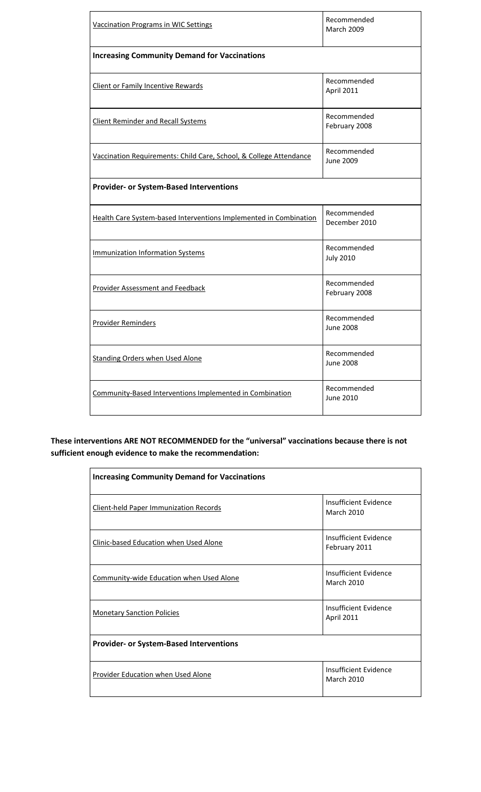| <b>Vaccination Programs in WIC Settings</b>                        | Recommended<br><b>March 2009</b> |  |
|--------------------------------------------------------------------|----------------------------------|--|
| <b>Increasing Community Demand for Vaccinations</b>                |                                  |  |
| Client or Family Incentive Rewards                                 | Recommended<br>April 2011        |  |
| <b>Client Reminder and Recall Systems</b>                          | Recommended<br>February 2008     |  |
| Vaccination Requirements: Child Care, School, & College Attendance | Recommended<br>June 2009         |  |
| <b>Provider- or System-Based Interventions</b>                     |                                  |  |
| Health Care System-based Interventions Implemented in Combination  | Recommended<br>December 2010     |  |
| <b>Immunization Information Systems</b>                            | Recommended<br><b>July 2010</b>  |  |
| <b>Provider Assessment and Feedback</b>                            | Recommended<br>February 2008     |  |
| <b>Provider Reminders</b>                                          | Recommended<br><b>June 2008</b>  |  |
| <b>Standing Orders when Used Alone</b>                             | Recommended<br><b>June 2008</b>  |  |
| Community-Based Interventions Implemented in Combination           | Recommended<br>June 2010         |  |

These interventions ARE NOT RECOMMENDED for the "universal" vaccinations because there is not sufficient enough evidence to make the recommendation:

| <b>Increasing Community Demand for Vaccinations</b> |                                            |  |
|-----------------------------------------------------|--------------------------------------------|--|
| <b>Client-held Paper Immunization Records</b>       | Insufficient Evidence<br><b>March 2010</b> |  |
| Clinic-based Education when Used Alone              | Insufficient Evidence<br>February 2011     |  |
| Community-wide Education when Used Alone            | Insufficient Evidence<br><b>March 2010</b> |  |
| <b>Monetary Sanction Policies</b>                   | Insufficient Evidence<br><b>April 2011</b> |  |
| <b>Provider- or System-Based Interventions</b>      |                                            |  |
| Provider Education when Used Alone                  | Insufficient Evidence<br><b>March 2010</b> |  |